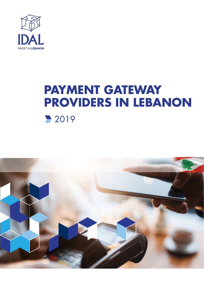

## **PAYMENT GATEWAY PROVIDERS IN LEBANON** 2019

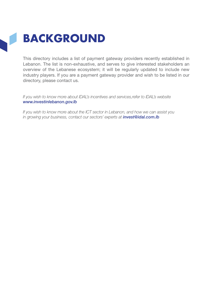## **BACKGROUND**

This directory includes a list of payment gateway providers recently established in Lebanon. The list is non-exhaustive, and serves to give interested stakeholders an overview of the Lebanese ecosystem; it will be regularly updated to include new industry players. If you are a payment gateway provider and wish to be listed in our directory, please contact us.

*If you wish to know more about IDAL's incentives and services,refer to IDAL's website www.investinlebanon.gov.lb*

*If you wish to know more about the ICT sector in Lebanon, and how we can assist you in growing your business, contact our sectors' experts at invest@idal.com.lb*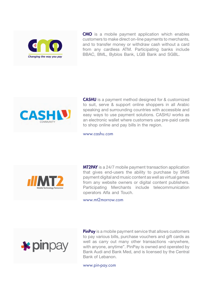

CMO is a mobile payment application which enables customers to make direct on-line payments to merchants, and to transfer money or withdraw cash without a card from any cardless ATM. Participating banks include BBAC, BML, Byblos Bank, LGB Bank and SGBL.



CASHU is a payment method designed for & customized to suit, serve & support online shoppers in all Arabic speaking and surrounding countries with accessible and easy ways to use payment solutions. CASHU works as an electronic wallet where customers use pre-paid cards to shop online and pay bills in the region.

www.cashu.com



**MT2PAY** is a 24/7 mobile payment transaction application that gives end-users the ability to purchase by SMS payment digital and music content as well as virtual games from any website owners or digital content publishers. Participating Merchants include telecommunication operators Alfa and Touch.

<www.mt2morrow.com>



**PinPay** is a mobile payment service that allows customers to pay various bills, purchase vouchers and gift cards as well as carry out many other transactions «anywhere, with anyone, anytime". PinPay is owned and operated by Bank Audi and Bank Med, and is licensed by the Central Bank of Lebanon.

www.pin-pay.com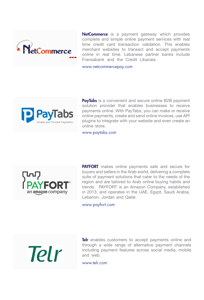

NetCommerce is a payment gateway which provides complete and simple online payment services with real time credit card transaction validation. This enables merchant websites to transact and accept payments online in real time. Lebanese partner banks include Fransabank and the Credit Libanais.

<www.netcommercepay.com>



PayTabs is a convenient and secure online B2B payment solution provider that enables businesses to receive payments online. With PayTabs, you can make or receive online payments, create and send online invoices, use API plugins to integrate with your website and even create an online store.

<www.paytabs.com>



**PAYFORT** makes online payments safe and secure for buyers and sellers in the Arab world, delivering a complete suite of payment solutions that cater to the needs of the region and are tailored to Arab online buying habits and trends. PAYFORT is an Amazon Company, established in 2013, and operates in the UAE, Egypt, Saudi Arabia, Lebanon, Jordan and Qatar.

<www.payfort.com>



Telr enables customers to accept payments online and through a wide range of alternative payment channels including payment features across social media, mobile and web.

<www.telr.com>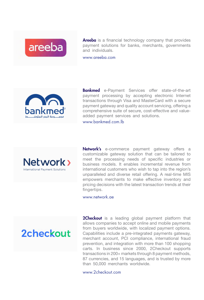

Areeba is a financial technology company that provides payment solutions for banks, merchants, governments and individuals.

www.areeba.com



**Bankmed** e-Payment Services offer state-of-the-art payment processing by accepting electronic Internet transactions through Visa and MasterCard with a secure payment gateway and quality account servicing, offering a comprehensive suite of secure, cost-effective and valueadded payment services and solutions. <www.bankmed.com.lb>



Network's e-commerce payment gateway offers a customizable gateway solution that can be tailored to meet the processing needs of specific industries or business models. It enables incremental revenue from international customers who wish to tap into the region's unparalleled and diverse retail offering. A real-time MIS empowers merchants to make effective inventory and pricing decisions with the latest transaction trends at their fingertips.

<www.network.ae>



**2Checkout** is a leading global payment platform that allows companies to accept online and mobile payments from buyers worldwide, with localized payment options. Capabilities include a pre-integrated payments gateway, merchant account, PCI compliance, international fraud prevention, and integration with more than 100 shopping carts. In business since 2000, 2Checkout supports transactions in 200+ markets through 8 payment methods, 87 currencies, and 15 languages, and is trusted by more than 50,000 merchants worldwide.

<www.2checkout.com>